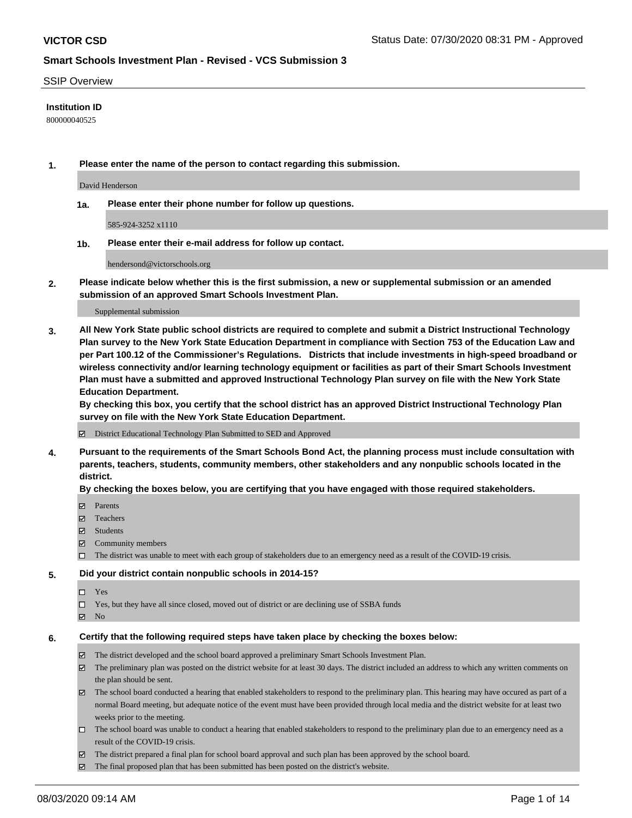### SSIP Overview

## **Institution ID**

800000040525

**1. Please enter the name of the person to contact regarding this submission.**

David Henderson

**1a. Please enter their phone number for follow up questions.**

585-924-3252 x1110

**1b. Please enter their e-mail address for follow up contact.**

hendersond@victorschools.org

**2. Please indicate below whether this is the first submission, a new or supplemental submission or an amended submission of an approved Smart Schools Investment Plan.**

#### Supplemental submission

**3. All New York State public school districts are required to complete and submit a District Instructional Technology Plan survey to the New York State Education Department in compliance with Section 753 of the Education Law and per Part 100.12 of the Commissioner's Regulations. Districts that include investments in high-speed broadband or wireless connectivity and/or learning technology equipment or facilities as part of their Smart Schools Investment Plan must have a submitted and approved Instructional Technology Plan survey on file with the New York State Education Department.** 

**By checking this box, you certify that the school district has an approved District Instructional Technology Plan survey on file with the New York State Education Department.**

District Educational Technology Plan Submitted to SED and Approved

**4. Pursuant to the requirements of the Smart Schools Bond Act, the planning process must include consultation with parents, teachers, students, community members, other stakeholders and any nonpublic schools located in the district.** 

### **By checking the boxes below, you are certifying that you have engaged with those required stakeholders.**

- **□** Parents
- Teachers
- Students
- $\boxtimes$  Community members
- The district was unable to meet with each group of stakeholders due to an emergency need as a result of the COVID-19 crisis.

### **5. Did your district contain nonpublic schools in 2014-15?**

- $\neg$  Yes
- Yes, but they have all since closed, moved out of district or are declining use of SSBA funds
- **Z** No

### **6. Certify that the following required steps have taken place by checking the boxes below:**

- The district developed and the school board approved a preliminary Smart Schools Investment Plan.
- $\boxtimes$  The preliminary plan was posted on the district website for at least 30 days. The district included an address to which any written comments on the plan should be sent.
- $\boxtimes$  The school board conducted a hearing that enabled stakeholders to respond to the preliminary plan. This hearing may have occured as part of a normal Board meeting, but adequate notice of the event must have been provided through local media and the district website for at least two weeks prior to the meeting.
- The school board was unable to conduct a hearing that enabled stakeholders to respond to the preliminary plan due to an emergency need as a result of the COVID-19 crisis.
- The district prepared a final plan for school board approval and such plan has been approved by the school board.
- $\boxtimes$  The final proposed plan that has been submitted has been posted on the district's website.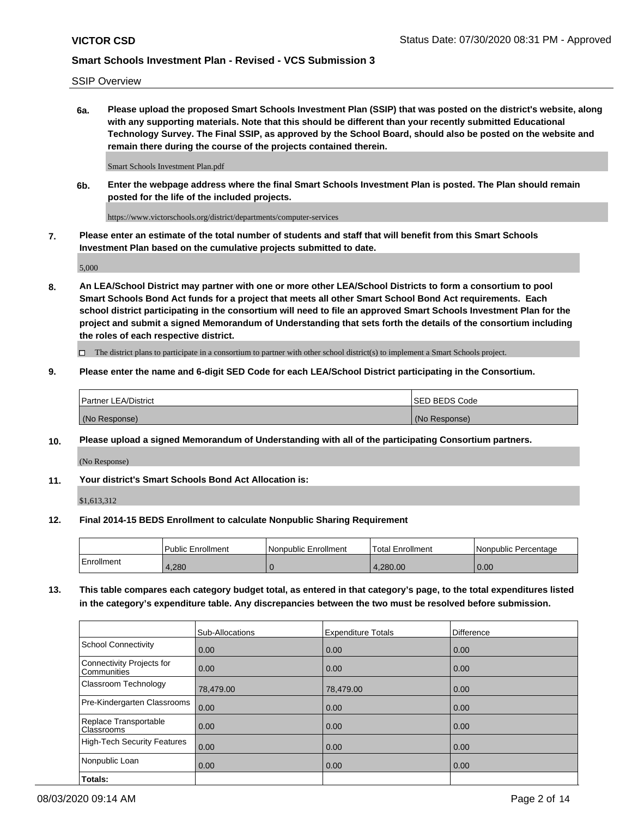SSIP Overview

**6a. Please upload the proposed Smart Schools Investment Plan (SSIP) that was posted on the district's website, along with any supporting materials. Note that this should be different than your recently submitted Educational Technology Survey. The Final SSIP, as approved by the School Board, should also be posted on the website and remain there during the course of the projects contained therein.**

Smart Schools Investment Plan.pdf

**6b. Enter the webpage address where the final Smart Schools Investment Plan is posted. The Plan should remain posted for the life of the included projects.**

https://www.victorschools.org/district/departments/computer-services

**7. Please enter an estimate of the total number of students and staff that will benefit from this Smart Schools Investment Plan based on the cumulative projects submitted to date.**

5,000

**8. An LEA/School District may partner with one or more other LEA/School Districts to form a consortium to pool Smart Schools Bond Act funds for a project that meets all other Smart School Bond Act requirements. Each school district participating in the consortium will need to file an approved Smart Schools Investment Plan for the project and submit a signed Memorandum of Understanding that sets forth the details of the consortium including the roles of each respective district.**

 $\Box$  The district plans to participate in a consortium to partner with other school district(s) to implement a Smart Schools project.

### **9. Please enter the name and 6-digit SED Code for each LEA/School District participating in the Consortium.**

| Partner LEA/District | <b>ISED BEDS Code</b> |
|----------------------|-----------------------|
| (No Response)        | (No Response)         |

## **10. Please upload a signed Memorandum of Understanding with all of the participating Consortium partners.**

(No Response)

**11. Your district's Smart Schools Bond Act Allocation is:**

\$1,613,312

### **12. Final 2014-15 BEDS Enrollment to calculate Nonpublic Sharing Requirement**

|            | Public Enrollment | Nonpublic Enrollment | Total Enrollment | l Nonpublic Percentage |
|------------|-------------------|----------------------|------------------|------------------------|
| Enrollment | 1.280             |                      | .280.00          | 0.00                   |

**13. This table compares each category budget total, as entered in that category's page, to the total expenditures listed in the category's expenditure table. Any discrepancies between the two must be resolved before submission.**

|                                          | Sub-Allocations | <b>Expenditure Totals</b> | Difference |
|------------------------------------------|-----------------|---------------------------|------------|
| <b>School Connectivity</b>               | 0.00            | 0.00                      | 0.00       |
| Connectivity Projects for<br>Communities | 0.00            | 0.00                      | 0.00       |
| Classroom Technology                     | 78,479.00       | 78,479.00                 | 0.00       |
| Pre-Kindergarten Classrooms              | 0.00            | 0.00                      | 0.00       |
| Replace Transportable<br>Classrooms      | 0.00            | 0.00                      | 0.00       |
| High-Tech Security Features              | 0.00            | 0.00                      | 0.00       |
| Nonpublic Loan                           | 0.00            | 0.00                      | 0.00       |
| Totals:                                  |                 |                           |            |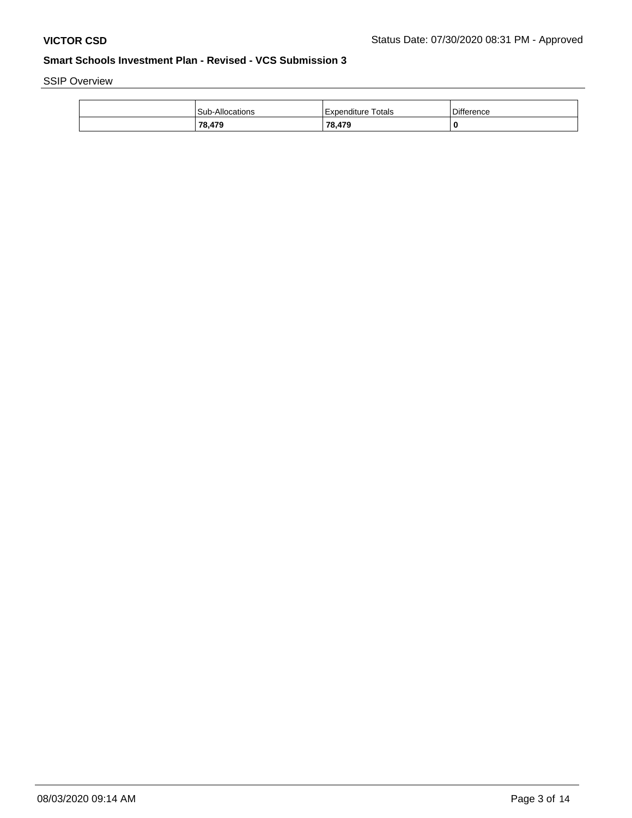SSIP Overview

| <b>Sub-Allocations</b> | Totals<br>l Expenditure | <b>Difference</b> |
|------------------------|-------------------------|-------------------|
| 78,479                 | 78,479                  | 0                 |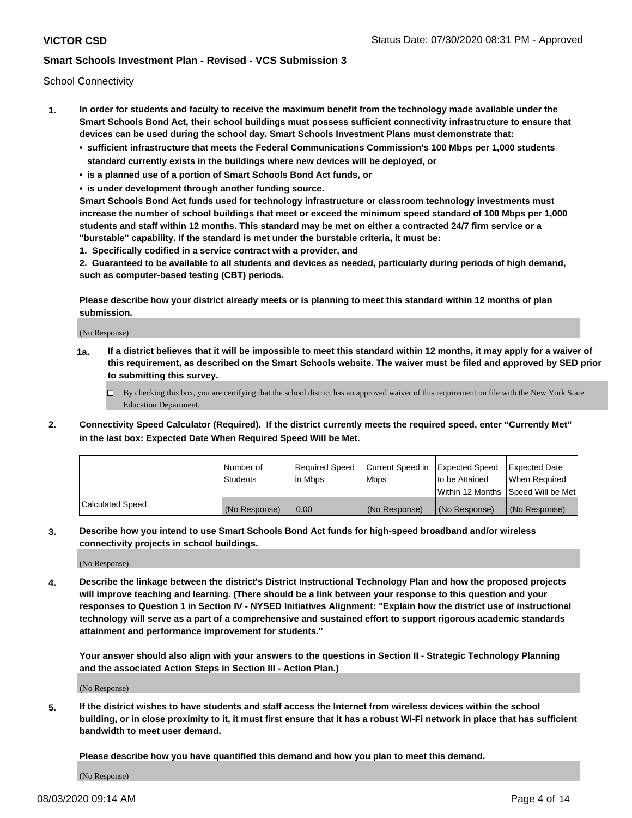School Connectivity

- **1. In order for students and faculty to receive the maximum benefit from the technology made available under the Smart Schools Bond Act, their school buildings must possess sufficient connectivity infrastructure to ensure that devices can be used during the school day. Smart Schools Investment Plans must demonstrate that:**
	- **• sufficient infrastructure that meets the Federal Communications Commission's 100 Mbps per 1,000 students standard currently exists in the buildings where new devices will be deployed, or**
	- **• is a planned use of a portion of Smart Schools Bond Act funds, or**
	- **• is under development through another funding source.**

**Smart Schools Bond Act funds used for technology infrastructure or classroom technology investments must increase the number of school buildings that meet or exceed the minimum speed standard of 100 Mbps per 1,000 students and staff within 12 months. This standard may be met on either a contracted 24/7 firm service or a "burstable" capability. If the standard is met under the burstable criteria, it must be:**

**1. Specifically codified in a service contract with a provider, and**

**2. Guaranteed to be available to all students and devices as needed, particularly during periods of high demand, such as computer-based testing (CBT) periods.**

**Please describe how your district already meets or is planning to meet this standard within 12 months of plan submission.**

(No Response)

**1a. If a district believes that it will be impossible to meet this standard within 12 months, it may apply for a waiver of this requirement, as described on the Smart Schools website. The waiver must be filed and approved by SED prior to submitting this survey.**

 $\Box$  By checking this box, you are certifying that the school district has an approved waiver of this requirement on file with the New York State Education Department.

**2. Connectivity Speed Calculator (Required). If the district currently meets the required speed, enter "Currently Met" in the last box: Expected Date When Required Speed Will be Met.**

|                  | l Number of     | Required Speed | Current Speed in | Expected Speed | Expected Date                           |
|------------------|-----------------|----------------|------------------|----------------|-----------------------------------------|
|                  | <b>Students</b> | In Mbps        | l Mbps           | to be Attained | When Required                           |
|                  |                 |                |                  |                | l Within 12 Months ISpeed Will be Met l |
| Calculated Speed | (No Response)   | 0.00           | (No Response)    | (No Response)  | (No Response)                           |

**3. Describe how you intend to use Smart Schools Bond Act funds for high-speed broadband and/or wireless connectivity projects in school buildings.**

(No Response)

**4. Describe the linkage between the district's District Instructional Technology Plan and how the proposed projects will improve teaching and learning. (There should be a link between your response to this question and your responses to Question 1 in Section IV - NYSED Initiatives Alignment: "Explain how the district use of instructional technology will serve as a part of a comprehensive and sustained effort to support rigorous academic standards attainment and performance improvement for students."** 

**Your answer should also align with your answers to the questions in Section II - Strategic Technology Planning and the associated Action Steps in Section III - Action Plan.)**

(No Response)

**5. If the district wishes to have students and staff access the Internet from wireless devices within the school building, or in close proximity to it, it must first ensure that it has a robust Wi-Fi network in place that has sufficient bandwidth to meet user demand.**

**Please describe how you have quantified this demand and how you plan to meet this demand.**

(No Response)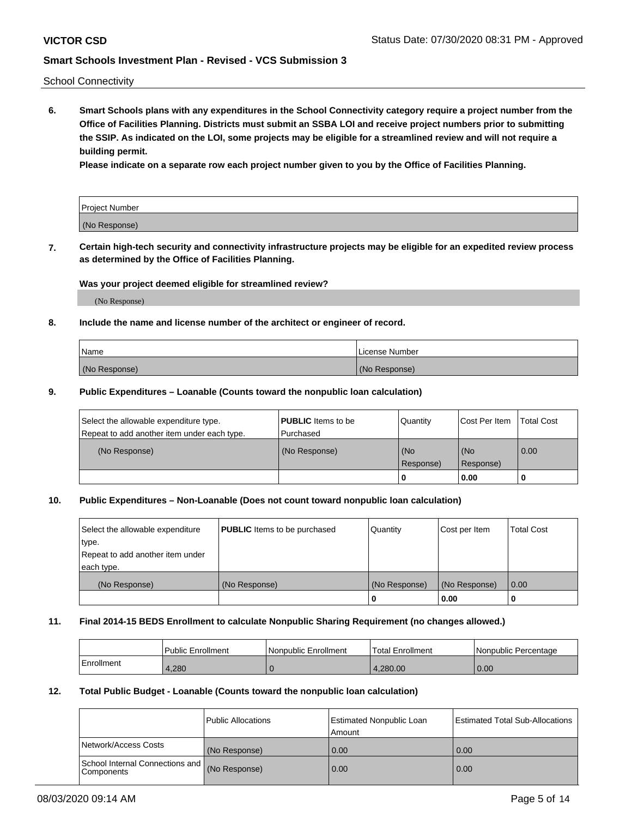School Connectivity

**6. Smart Schools plans with any expenditures in the School Connectivity category require a project number from the Office of Facilities Planning. Districts must submit an SSBA LOI and receive project numbers prior to submitting the SSIP. As indicated on the LOI, some projects may be eligible for a streamlined review and will not require a building permit.**

**Please indicate on a separate row each project number given to you by the Office of Facilities Planning.**

| Project Number |  |
|----------------|--|
| (No Response)  |  |

**7. Certain high-tech security and connectivity infrastructure projects may be eligible for an expedited review process as determined by the Office of Facilities Planning.**

## **Was your project deemed eligible for streamlined review?**

(No Response)

## **8. Include the name and license number of the architect or engineer of record.**

| Name          | License Number |
|---------------|----------------|
| (No Response) | (No Response)  |

### **9. Public Expenditures – Loanable (Counts toward the nonpublic loan calculation)**

| Select the allowable expenditure type.<br>Repeat to add another item under each type. | <b>PUBLIC</b> Items to be<br>l Purchased | Quantity         | l Cost Per Item  | <b>Total Cost</b> |
|---------------------------------------------------------------------------------------|------------------------------------------|------------------|------------------|-------------------|
| (No Response)                                                                         | (No Response)                            | (No<br>Response) | (No<br>Response) | 0.00              |
|                                                                                       |                                          | 0                | 0.00             |                   |

## **10. Public Expenditures – Non-Loanable (Does not count toward nonpublic loan calculation)**

| Select the allowable expenditure<br>type.<br>Repeat to add another item under<br>each type. | <b>PUBLIC</b> Items to be purchased | Quantity      | Cost per Item | <b>Total Cost</b> |
|---------------------------------------------------------------------------------------------|-------------------------------------|---------------|---------------|-------------------|
| (No Response)                                                                               | (No Response)                       | (No Response) | (No Response) | 0.00              |
|                                                                                             |                                     |               | 0.00          |                   |

### **11. Final 2014-15 BEDS Enrollment to calculate Nonpublic Sharing Requirement (no changes allowed.)**

|            | Public Enrollment | <b>Nonpublic Enrollment</b> | <b>Total Enrollment</b> | l Nonpublic Percentage |
|------------|-------------------|-----------------------------|-------------------------|------------------------|
| Enrollment | 4,280             |                             | 4.280.00                | 0.00                   |

### **12. Total Public Budget - Loanable (Counts toward the nonpublic loan calculation)**

|                                                      | Public Allocations | <b>Estimated Nonpublic Loan</b><br>Amount | Estimated Total Sub-Allocations |
|------------------------------------------------------|--------------------|-------------------------------------------|---------------------------------|
| Network/Access Costs                                 | (No Response)      | 0.00                                      | 0.00                            |
| School Internal Connections and<br><b>Components</b> | (No Response)      | 0.00                                      | 0.00                            |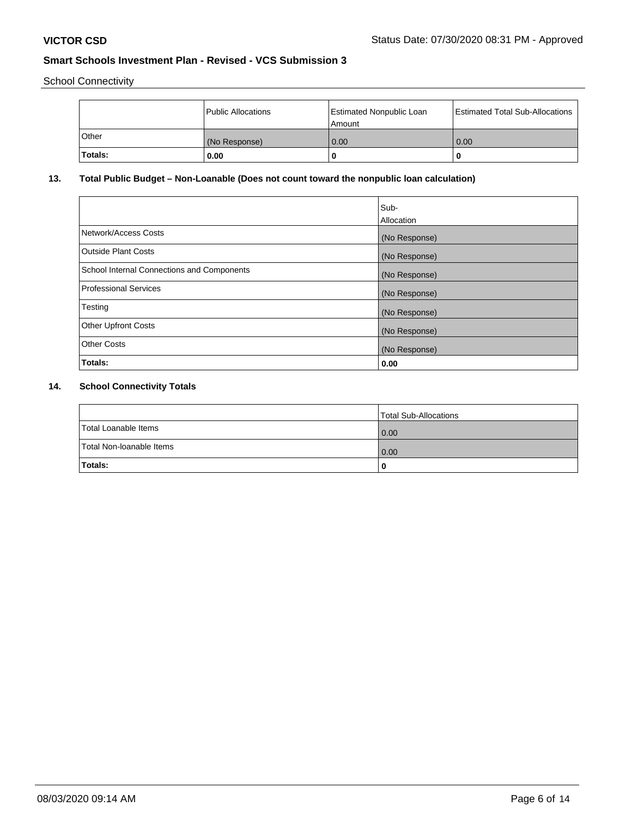School Connectivity

|         | Public Allocations | Estimated Nonpublic Loan<br>l Amount | <b>Estimated Total Sub-Allocations</b> |
|---------|--------------------|--------------------------------------|----------------------------------------|
| l Other | (No Response)      | 0.00                                 | 0.00                                   |
| Totals: | 0.00               | 0                                    |                                        |

# **13. Total Public Budget – Non-Loanable (Does not count toward the nonpublic loan calculation)**

|                                                   | Sub-<br>Allocation |
|---------------------------------------------------|--------------------|
| Network/Access Costs                              | (No Response)      |
| Outside Plant Costs                               | (No Response)      |
| <b>School Internal Connections and Components</b> | (No Response)      |
| Professional Services                             | (No Response)      |
| Testing                                           | (No Response)      |
| <b>Other Upfront Costs</b>                        | (No Response)      |
| <b>Other Costs</b>                                | (No Response)      |
| Totals:                                           | 0.00               |

# **14. School Connectivity Totals**

|                          | Total Sub-Allocations |
|--------------------------|-----------------------|
| Total Loanable Items     | 0.00                  |
| Total Non-Ioanable Items | 0.00                  |
| Totals:                  |                       |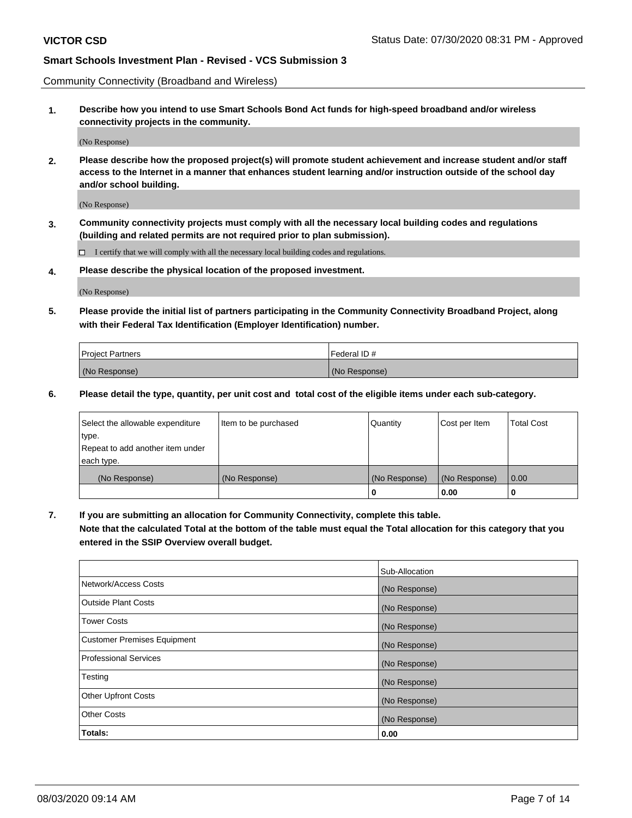Community Connectivity (Broadband and Wireless)

**1. Describe how you intend to use Smart Schools Bond Act funds for high-speed broadband and/or wireless connectivity projects in the community.**

(No Response)

**2. Please describe how the proposed project(s) will promote student achievement and increase student and/or staff access to the Internet in a manner that enhances student learning and/or instruction outside of the school day and/or school building.**

(No Response)

**3. Community connectivity projects must comply with all the necessary local building codes and regulations (building and related permits are not required prior to plan submission).**

 $\Box$  I certify that we will comply with all the necessary local building codes and regulations.

**4. Please describe the physical location of the proposed investment.**

(No Response)

**5. Please provide the initial list of partners participating in the Community Connectivity Broadband Project, along with their Federal Tax Identification (Employer Identification) number.**

| <b>Project Partners</b> | l Federal ID # |
|-------------------------|----------------|
| (No Response)           | (No Response)  |

**6. Please detail the type, quantity, per unit cost and total cost of the eligible items under each sub-category.**

| Select the allowable expenditure | Item to be purchased | Quantity      | Cost per Item | <b>Total Cost</b> |
|----------------------------------|----------------------|---------------|---------------|-------------------|
| type.                            |                      |               |               |                   |
| Repeat to add another item under |                      |               |               |                   |
| each type.                       |                      |               |               |                   |
| (No Response)                    | (No Response)        | (No Response) | (No Response) | 0.00              |
|                                  |                      | o             | 0.00          |                   |

**7. If you are submitting an allocation for Community Connectivity, complete this table.**

**Note that the calculated Total at the bottom of the table must equal the Total allocation for this category that you entered in the SSIP Overview overall budget.**

|                                    | Sub-Allocation |
|------------------------------------|----------------|
| Network/Access Costs               | (No Response)  |
| Outside Plant Costs                | (No Response)  |
| <b>Tower Costs</b>                 | (No Response)  |
| <b>Customer Premises Equipment</b> | (No Response)  |
| <b>Professional Services</b>       | (No Response)  |
| Testing                            | (No Response)  |
| <b>Other Upfront Costs</b>         | (No Response)  |
| <b>Other Costs</b>                 | (No Response)  |
| Totals:                            | 0.00           |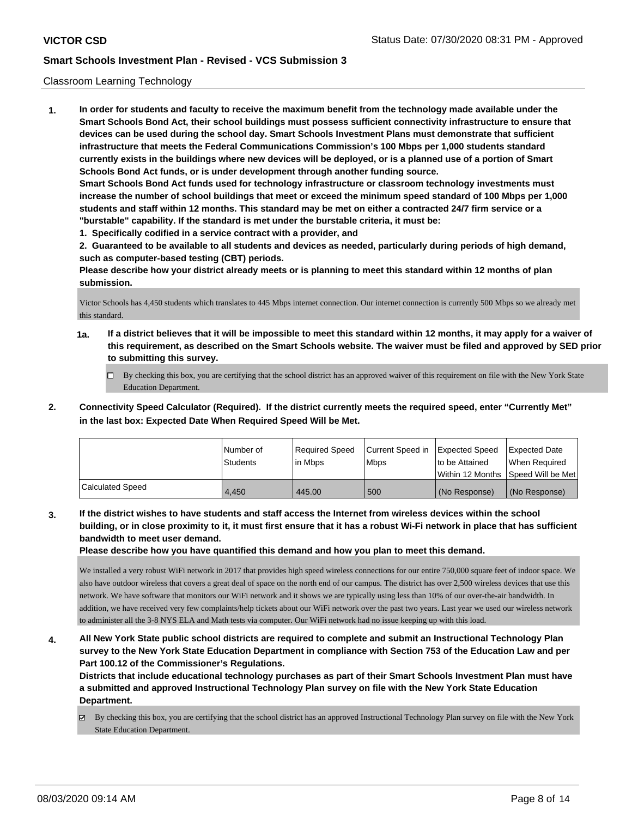## Classroom Learning Technology

**1. In order for students and faculty to receive the maximum benefit from the technology made available under the Smart Schools Bond Act, their school buildings must possess sufficient connectivity infrastructure to ensure that devices can be used during the school day. Smart Schools Investment Plans must demonstrate that sufficient infrastructure that meets the Federal Communications Commission's 100 Mbps per 1,000 students standard currently exists in the buildings where new devices will be deployed, or is a planned use of a portion of Smart Schools Bond Act funds, or is under development through another funding source. Smart Schools Bond Act funds used for technology infrastructure or classroom technology investments must increase the number of school buildings that meet or exceed the minimum speed standard of 100 Mbps per 1,000 students and staff within 12 months. This standard may be met on either a contracted 24/7 firm service or a**

**"burstable" capability. If the standard is met under the burstable criteria, it must be: 1. Specifically codified in a service contract with a provider, and**

**2. Guaranteed to be available to all students and devices as needed, particularly during periods of high demand, such as computer-based testing (CBT) periods.**

**Please describe how your district already meets or is planning to meet this standard within 12 months of plan submission.**

Victor Schools has 4,450 students which translates to 445 Mbps internet connection. Our internet connection is currently 500 Mbps so we already met this standard.

- **1a. If a district believes that it will be impossible to meet this standard within 12 months, it may apply for a waiver of this requirement, as described on the Smart Schools website. The waiver must be filed and approved by SED prior to submitting this survey.**
	- By checking this box, you are certifying that the school district has an approved waiver of this requirement on file with the New York State Education Department.
- **2. Connectivity Speed Calculator (Required). If the district currently meets the required speed, enter "Currently Met" in the last box: Expected Date When Required Speed Will be Met.**

|                         | l Number of<br>Students | Required Speed<br>l in Mbps | Current Speed in<br>l Mbps | Expected Speed<br>to be Attained | <b>Expected Date</b><br>When Reauired<br>Within 12 Months ISpeed Will be Met l |
|-------------------------|-------------------------|-----------------------------|----------------------------|----------------------------------|--------------------------------------------------------------------------------|
| <b>Calculated Speed</b> | 4.450                   | 445.00                      | 500                        | (No Response)                    | (No Response)                                                                  |

**3. If the district wishes to have students and staff access the Internet from wireless devices within the school building, or in close proximity to it, it must first ensure that it has a robust Wi-Fi network in place that has sufficient bandwidth to meet user demand.**

**Please describe how you have quantified this demand and how you plan to meet this demand.**

We installed a very robust WiFi network in 2017 that provides high speed wireless connections for our entire 750,000 square feet of indoor space. We also have outdoor wireless that covers a great deal of space on the north end of our campus. The district has over 2,500 wireless devices that use this network. We have software that monitors our WiFi network and it shows we are typically using less than 10% of our over-the-air bandwidth. In addition, we have received very few complaints/help tickets about our WiFi network over the past two years. Last year we used our wireless network to administer all the 3-8 NYS ELA and Math tests via computer. Our WiFi network had no issue keeping up with this load.

**4. All New York State public school districts are required to complete and submit an Instructional Technology Plan survey to the New York State Education Department in compliance with Section 753 of the Education Law and per Part 100.12 of the Commissioner's Regulations.**

**Districts that include educational technology purchases as part of their Smart Schools Investment Plan must have a submitted and approved Instructional Technology Plan survey on file with the New York State Education Department.**

 $\boxtimes$  By checking this box, you are certifying that the school district has an approved Instructional Technology Plan survey on file with the New York State Education Department.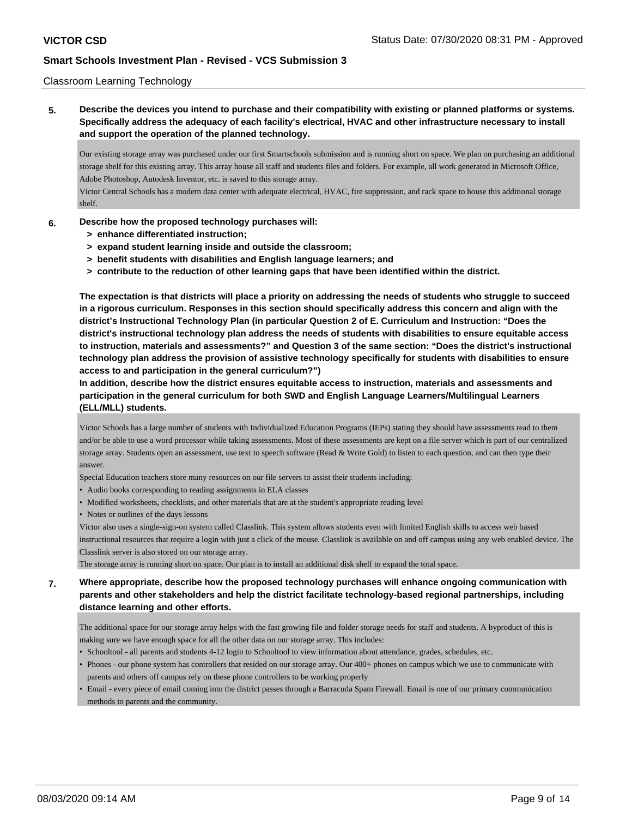## Classroom Learning Technology

**5. Describe the devices you intend to purchase and their compatibility with existing or planned platforms or systems. Specifically address the adequacy of each facility's electrical, HVAC and other infrastructure necessary to install and support the operation of the planned technology.**

Our existing storage array was purchased under our first Smartschools submission and is running short on space. We plan on purchasing an additional storage shelf for this existing array. This array house all staff and students files and folders. For example, all work generated in Microsoft Office, Adobe Photoshop, Autodesk Inventor, etc. is saved to this storage array.

Victor Central Schools has a modern data center with adequate electrical, HVAC, fire suppression, and rack space to house this additional storage shelf.

## **6. Describe how the proposed technology purchases will:**

- **> enhance differentiated instruction;**
- **> expand student learning inside and outside the classroom;**
- **> benefit students with disabilities and English language learners; and**
- **> contribute to the reduction of other learning gaps that have been identified within the district.**

**The expectation is that districts will place a priority on addressing the needs of students who struggle to succeed in a rigorous curriculum. Responses in this section should specifically address this concern and align with the district's Instructional Technology Plan (in particular Question 2 of E. Curriculum and Instruction: "Does the district's instructional technology plan address the needs of students with disabilities to ensure equitable access to instruction, materials and assessments?" and Question 3 of the same section: "Does the district's instructional technology plan address the provision of assistive technology specifically for students with disabilities to ensure access to and participation in the general curriculum?")**

**In addition, describe how the district ensures equitable access to instruction, materials and assessments and participation in the general curriculum for both SWD and English Language Learners/Multilingual Learners (ELL/MLL) students.**

Victor Schools has a large number of students with Individualized Education Programs (IEPs) stating they should have assessments read to them and/or be able to use a word processor while taking assessments. Most of these assessments are kept on a file server which is part of our centralized storage array. Students open an assessment, use text to speech software (Read & Write Gold) to listen to each question, and can then type their answer.

Special Education teachers store many resources on our file servers to assist their students including:

- Audio books corresponding to reading assignments in ELA classes
- Modified worksheets, checklists, and other materials that are at the student's appropriate reading level
- Notes or outlines of the days lessons

Victor also uses a single-sign-on system called Classlink. This system allows students even with limited English skills to access web based instructional resources that require a login with just a click of the mouse. Classlink is available on and off campus using any web enabled device. The Classlink server is also stored on our storage array.

The storage array is running short on space. Our plan is to install an additional disk shelf to expand the total space.

# **7. Where appropriate, describe how the proposed technology purchases will enhance ongoing communication with parents and other stakeholders and help the district facilitate technology-based regional partnerships, including distance learning and other efforts.**

The additional space for our storage array helps with the fast growing file and folder storage needs for staff and students. A byproduct of this is making sure we have enough space for all the other data on our storage array. This includes:

- Schooltool all parents and students 4-12 login to Schooltool to view information about attendance, grades, schedules, etc.
- Phones our phone system has controllers that resided on our storage array. Our 400+ phones on campus which we use to communicate with parents and others off campus rely on these phone controllers to be working properly
- Email every piece of email coming into the district passes through a Barracuda Spam Firewall. Email is one of our primary communication methods to parents and the community.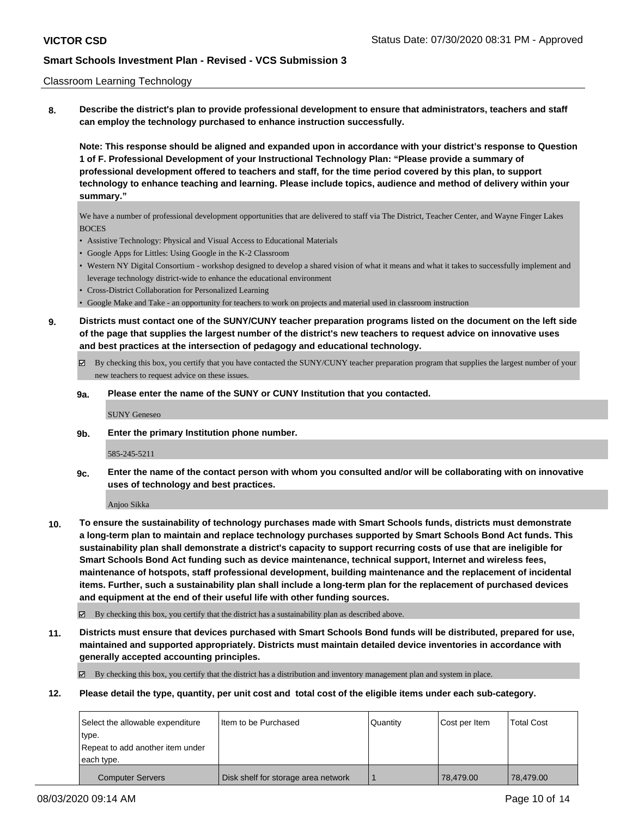## Classroom Learning Technology

**8. Describe the district's plan to provide professional development to ensure that administrators, teachers and staff can employ the technology purchased to enhance instruction successfully.**

**Note: This response should be aligned and expanded upon in accordance with your district's response to Question 1 of F. Professional Development of your Instructional Technology Plan: "Please provide a summary of professional development offered to teachers and staff, for the time period covered by this plan, to support technology to enhance teaching and learning. Please include topics, audience and method of delivery within your summary."**

We have a number of professional development opportunities that are delivered to staff via The District, Teacher Center, and Wayne Finger Lakes BOCES

- Assistive Technology: Physical and Visual Access to Educational Materials
- Google Apps for Littles: Using Google in the K-2 Classroom
- Western NY Digital Consortium workshop designed to develop a shared vision of what it means and what it takes to successfully implement and leverage technology district-wide to enhance the educational environment
- Cross-District Collaboration for Personalized Learning
- Google Make and Take an opportunity for teachers to work on projects and material used in classroom instruction

**9. Districts must contact one of the SUNY/CUNY teacher preparation programs listed on the document on the left side of the page that supplies the largest number of the district's new teachers to request advice on innovative uses and best practices at the intersection of pedagogy and educational technology.**

- By checking this box, you certify that you have contacted the SUNY/CUNY teacher preparation program that supplies the largest number of your new teachers to request advice on these issues.
- **9a. Please enter the name of the SUNY or CUNY Institution that you contacted.**

SUNY Geneseo

**9b. Enter the primary Institution phone number.**

### 585-245-5211

**9c. Enter the name of the contact person with whom you consulted and/or will be collaborating with on innovative uses of technology and best practices.**

Anjoo Sikka

**10. To ensure the sustainability of technology purchases made with Smart Schools funds, districts must demonstrate a long-term plan to maintain and replace technology purchases supported by Smart Schools Bond Act funds. This sustainability plan shall demonstrate a district's capacity to support recurring costs of use that are ineligible for Smart Schools Bond Act funding such as device maintenance, technical support, Internet and wireless fees, maintenance of hotspots, staff professional development, building maintenance and the replacement of incidental items. Further, such a sustainability plan shall include a long-term plan for the replacement of purchased devices and equipment at the end of their useful life with other funding sources.**

By checking this box, you certify that the district has a sustainability plan as described above.

**11. Districts must ensure that devices purchased with Smart Schools Bond funds will be distributed, prepared for use, maintained and supported appropriately. Districts must maintain detailed device inventories in accordance with generally accepted accounting principles.**

By checking this box, you certify that the district has a distribution and inventory management plan and system in place.

**12. Please detail the type, quantity, per unit cost and total cost of the eligible items under each sub-category.**

| Select the allowable expenditure          | I Item to be Purchased              | Quantity | Cost per Item | <b>Total Cost</b> |
|-------------------------------------------|-------------------------------------|----------|---------------|-------------------|
| type.<br>Repeat to add another item under |                                     |          |               |                   |
| each type.                                |                                     |          |               |                   |
| <b>Computer Servers</b>                   | Disk shelf for storage area network |          | 78,479.00     | 78,479.00         |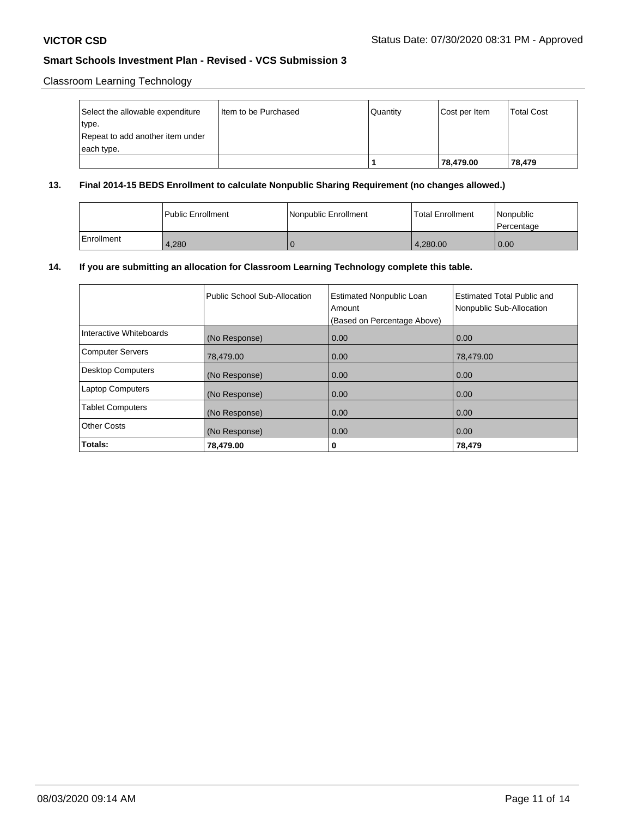Classroom Learning Technology

| Select the allowable expenditure | I Item to be Purchased | Quantity | Cost per Item | <b>Total Cost</b> |
|----------------------------------|------------------------|----------|---------------|-------------------|
| type.                            |                        |          |               |                   |
| Repeat to add another item under |                        |          |               |                   |
| each type.                       |                        |          |               |                   |
|                                  |                        |          | 78,479.00     | 78,479            |

## **13. Final 2014-15 BEDS Enrollment to calculate Nonpublic Sharing Requirement (no changes allowed.)**

|            | l Public Enrollment | Nonpublic Enrollment | <b>Total Enrollment</b> | <i>Nonpublic</i><br>l Percentage |
|------------|---------------------|----------------------|-------------------------|----------------------------------|
| Enrollment | 4.280               |                      | 4,280.00                | 0.00                             |

# **14. If you are submitting an allocation for Classroom Learning Technology complete this table.**

|                         | Public School Sub-Allocation | <b>Estimated Nonpublic Loan</b><br>Amount<br>(Based on Percentage Above) | Estimated Total Public and<br>Nonpublic Sub-Allocation |
|-------------------------|------------------------------|--------------------------------------------------------------------------|--------------------------------------------------------|
| Interactive Whiteboards | (No Response)                | 0.00                                                                     | 0.00                                                   |
| <b>Computer Servers</b> | 78,479.00                    | 0.00                                                                     | 78,479.00                                              |
| Desktop Computers       | (No Response)                | 0.00                                                                     | 0.00                                                   |
| <b>Laptop Computers</b> | (No Response)                | 0.00                                                                     | 0.00                                                   |
| <b>Tablet Computers</b> | (No Response)                | 0.00                                                                     | 0.00                                                   |
| <b>Other Costs</b>      | (No Response)                | 0.00                                                                     | 0.00                                                   |
| Totals:                 | 78,479.00                    | 0                                                                        | 78,479                                                 |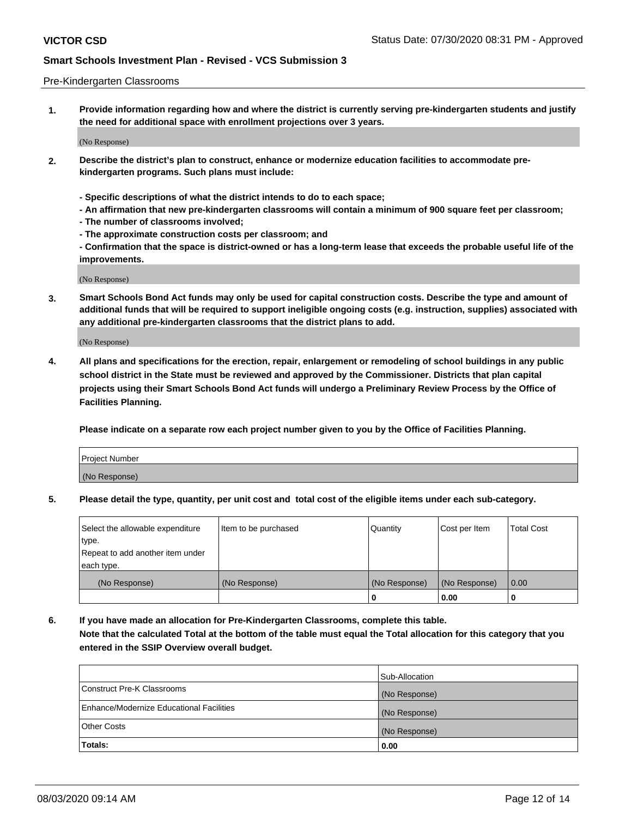### Pre-Kindergarten Classrooms

**1. Provide information regarding how and where the district is currently serving pre-kindergarten students and justify the need for additional space with enrollment projections over 3 years.**

(No Response)

- **2. Describe the district's plan to construct, enhance or modernize education facilities to accommodate prekindergarten programs. Such plans must include:**
	- **Specific descriptions of what the district intends to do to each space;**
	- **An affirmation that new pre-kindergarten classrooms will contain a minimum of 900 square feet per classroom;**
	- **The number of classrooms involved;**
	- **The approximate construction costs per classroom; and**
	- **Confirmation that the space is district-owned or has a long-term lease that exceeds the probable useful life of the improvements.**

(No Response)

**3. Smart Schools Bond Act funds may only be used for capital construction costs. Describe the type and amount of additional funds that will be required to support ineligible ongoing costs (e.g. instruction, supplies) associated with any additional pre-kindergarten classrooms that the district plans to add.**

(No Response)

**4. All plans and specifications for the erection, repair, enlargement or remodeling of school buildings in any public school district in the State must be reviewed and approved by the Commissioner. Districts that plan capital projects using their Smart Schools Bond Act funds will undergo a Preliminary Review Process by the Office of Facilities Planning.**

**Please indicate on a separate row each project number given to you by the Office of Facilities Planning.**

| Project Number |  |
|----------------|--|
| (No Response)  |  |
|                |  |

**5. Please detail the type, quantity, per unit cost and total cost of the eligible items under each sub-category.**

| Select the allowable expenditure | Item to be purchased | Quantity      | Cost per Item | <b>Total Cost</b> |
|----------------------------------|----------------------|---------------|---------------|-------------------|
| 'type.                           |                      |               |               |                   |
| Repeat to add another item under |                      |               |               |                   |
| each type.                       |                      |               |               |                   |
| (No Response)                    | (No Response)        | (No Response) | (No Response) | 0.00              |
|                                  |                      | U             | 0.00          |                   |

**6. If you have made an allocation for Pre-Kindergarten Classrooms, complete this table. Note that the calculated Total at the bottom of the table must equal the Total allocation for this category that you entered in the SSIP Overview overall budget.**

| Totals:                                  | 0.00           |
|------------------------------------------|----------------|
| <b>Other Costs</b>                       | (No Response)  |
| Enhance/Modernize Educational Facilities | (No Response)  |
| Construct Pre-K Classrooms               | (No Response)  |
|                                          | Sub-Allocation |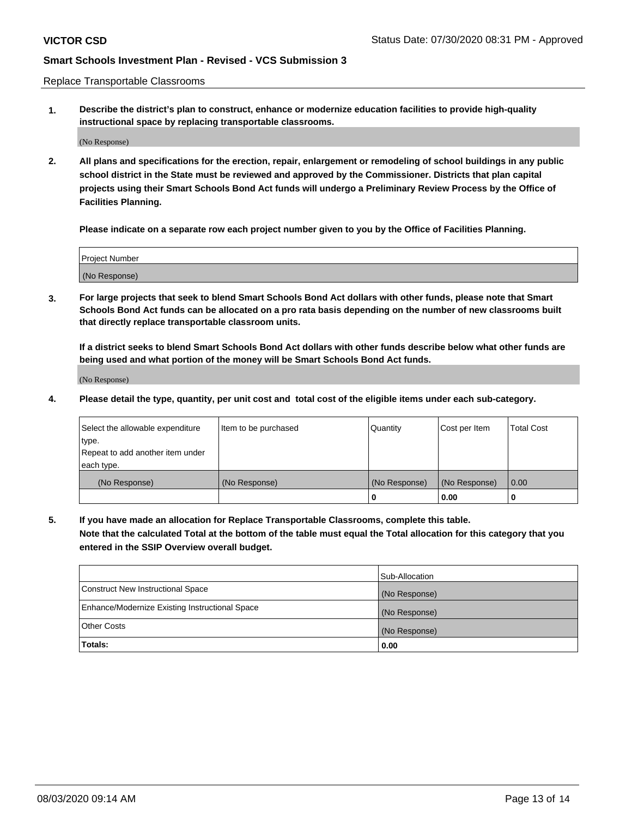Replace Transportable Classrooms

**1. Describe the district's plan to construct, enhance or modernize education facilities to provide high-quality instructional space by replacing transportable classrooms.**

(No Response)

**2. All plans and specifications for the erection, repair, enlargement or remodeling of school buildings in any public school district in the State must be reviewed and approved by the Commissioner. Districts that plan capital projects using their Smart Schools Bond Act funds will undergo a Preliminary Review Process by the Office of Facilities Planning.**

**Please indicate on a separate row each project number given to you by the Office of Facilities Planning.**

| Project Number |  |
|----------------|--|
|                |  |
|                |  |
|                |  |
|                |  |
| (No Response)  |  |
|                |  |
|                |  |
|                |  |

**3. For large projects that seek to blend Smart Schools Bond Act dollars with other funds, please note that Smart Schools Bond Act funds can be allocated on a pro rata basis depending on the number of new classrooms built that directly replace transportable classroom units.**

**If a district seeks to blend Smart Schools Bond Act dollars with other funds describe below what other funds are being used and what portion of the money will be Smart Schools Bond Act funds.**

(No Response)

**4. Please detail the type, quantity, per unit cost and total cost of the eligible items under each sub-category.**

| Select the allowable expenditure | Item to be purchased | Quantity      | Cost per Item | Total Cost |
|----------------------------------|----------------------|---------------|---------------|------------|
| ∣type.                           |                      |               |               |            |
| Repeat to add another item under |                      |               |               |            |
| each type.                       |                      |               |               |            |
| (No Response)                    | (No Response)        | (No Response) | (No Response) | 0.00       |
|                                  |                      | u             | 0.00          |            |

**5. If you have made an allocation for Replace Transportable Classrooms, complete this table. Note that the calculated Total at the bottom of the table must equal the Total allocation for this category that you entered in the SSIP Overview overall budget.**

|                                                | Sub-Allocation |
|------------------------------------------------|----------------|
| Construct New Instructional Space              | (No Response)  |
| Enhance/Modernize Existing Instructional Space | (No Response)  |
| Other Costs                                    | (No Response)  |
| Totals:                                        | 0.00           |